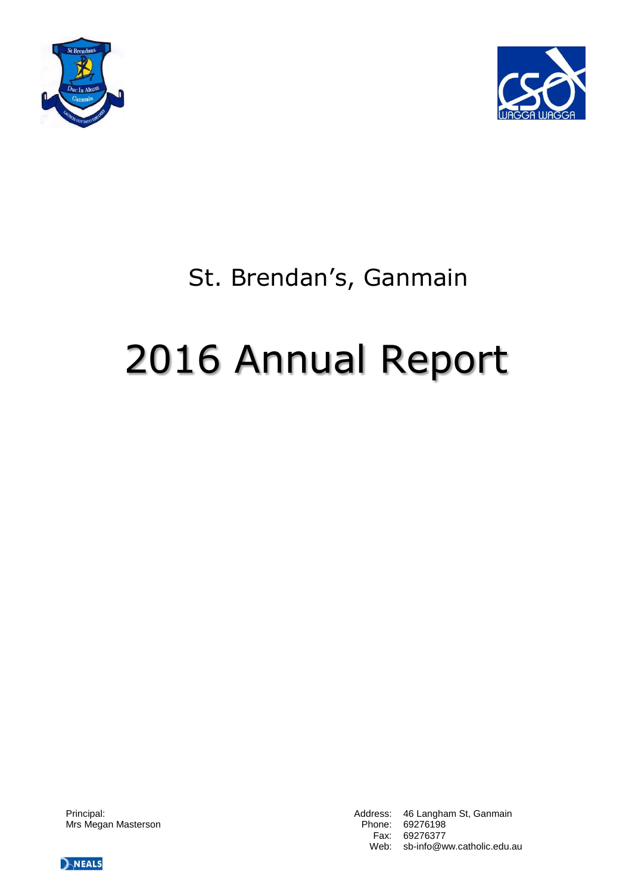



# St. Brendan's, Ganmain

# 2016 Annual Report

Mrs Megan Masterson **Phone: 69276198** 

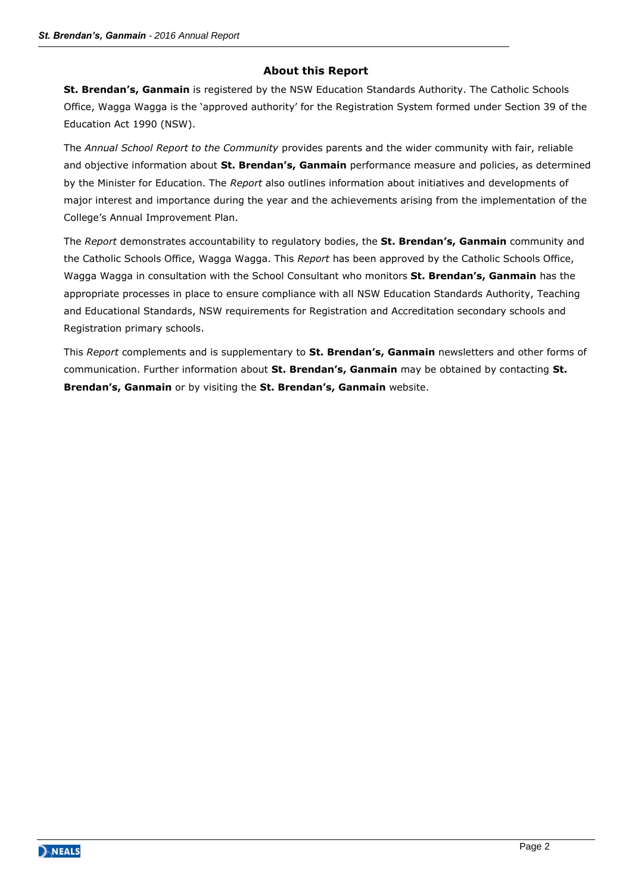# **About this Report**

**St. Brendan's, Ganmain** is registered by the NSW Education Standards Authority. The Catholic Schools Office, Wagga Wagga is the 'approved authority' for the Registration System formed under Section 39 of the Education Act 1990 (NSW).

The *Annual School Report to the Community* provides parents and the wider community with fair, reliable and objective information about **St. Brendan's, Ganmain** performance measure and policies, as determined by the Minister for Education. The *Report* also outlines information about initiatives and developments of major interest and importance during the year and the achievements arising from the implementation of the College's Annual Improvement Plan.

The *Report* demonstrates accountability to regulatory bodies, the **St. Brendan's, Ganmain** community and the Catholic Schools Office, Wagga Wagga. This *Report* has been approved by the Catholic Schools Office, Wagga Wagga in consultation with the School Consultant who monitors **St. Brendan's, Ganmain** has the appropriate processes in place to ensure compliance with all NSW Education Standards Authority, Teaching and Educational Standards, NSW requirements for Registration and Accreditation secondary schools and Registration primary schools.

This *Report* complements and is supplementary to **St. Brendan's, Ganmain** newsletters and other forms of communication. Further information about **St. Brendan's, Ganmain** may be obtained by contacting **St. Brendan's, Ganmain** or by visiting the **St. Brendan's, Ganmain** website.

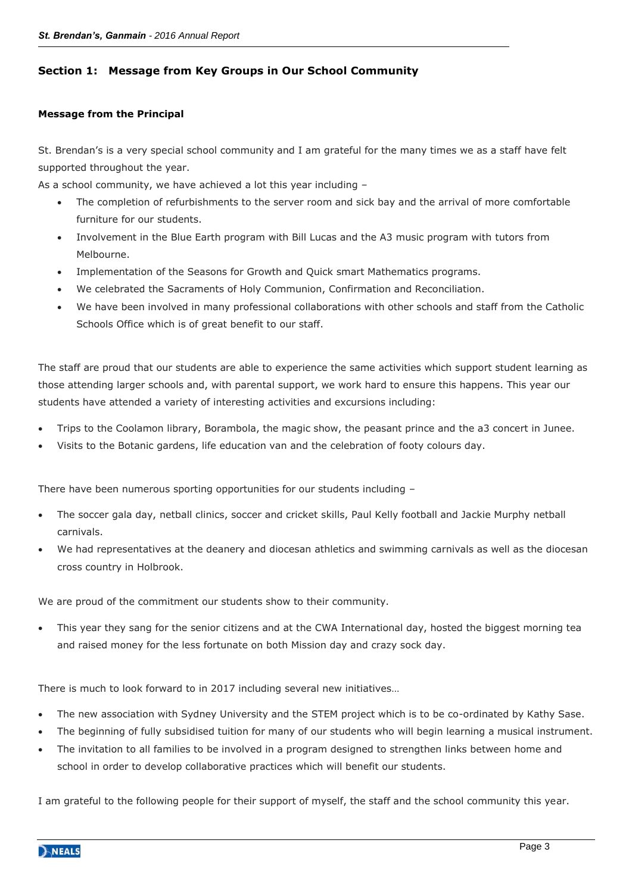# **Section 1: Message from Key Groups in Our School Community**

#### **Message from the Principal**

St. Brendan's is a very special school community and I am grateful for the many times we as a staff have felt supported throughout the year.

As a school community, we have achieved a lot this year including –

- The completion of refurbishments to the server room and sick bay and the arrival of more comfortable furniture for our students.
- Involvement in the Blue Earth program with Bill Lucas and the A3 music program with tutors from Melbourne.
- Implementation of the Seasons for Growth and Quick smart Mathematics programs.
- We celebrated the Sacraments of Holy Communion, Confirmation and Reconciliation.
- We have been involved in many professional collaborations with other schools and staff from the Catholic Schools Office which is of great benefit to our staff.

The staff are proud that our students are able to experience the same activities which support student learning as those attending larger schools and, with parental support, we work hard to ensure this happens. This year our students have attended a variety of interesting activities and excursions including:

- Trips to the Coolamon library, Borambola, the magic show, the peasant prince and the a3 concert in Junee.
- Visits to the Botanic gardens, life education van and the celebration of footy colours day.

There have been numerous sporting opportunities for our students including –

- The soccer gala day, netball clinics, soccer and cricket skills, Paul Kelly football and Jackie Murphy netball carnivals.
- We had representatives at the deanery and diocesan athletics and swimming carnivals as well as the diocesan cross country in Holbrook.

We are proud of the commitment our students show to their community.

 This year they sang for the senior citizens and at the CWA International day, hosted the biggest morning tea and raised money for the less fortunate on both Mission day and crazy sock day.

There is much to look forward to in 2017 including several new initiatives…

- The new association with Sydney University and the STEM project which is to be co-ordinated by Kathy Sase.
- The beginning of fully subsidised tuition for many of our students who will begin learning a musical instrument.
- The invitation to all families to be involved in a program designed to strengthen links between home and school in order to develop collaborative practices which will benefit our students.

I am grateful to the following people for their support of myself, the staff and the school community this year.

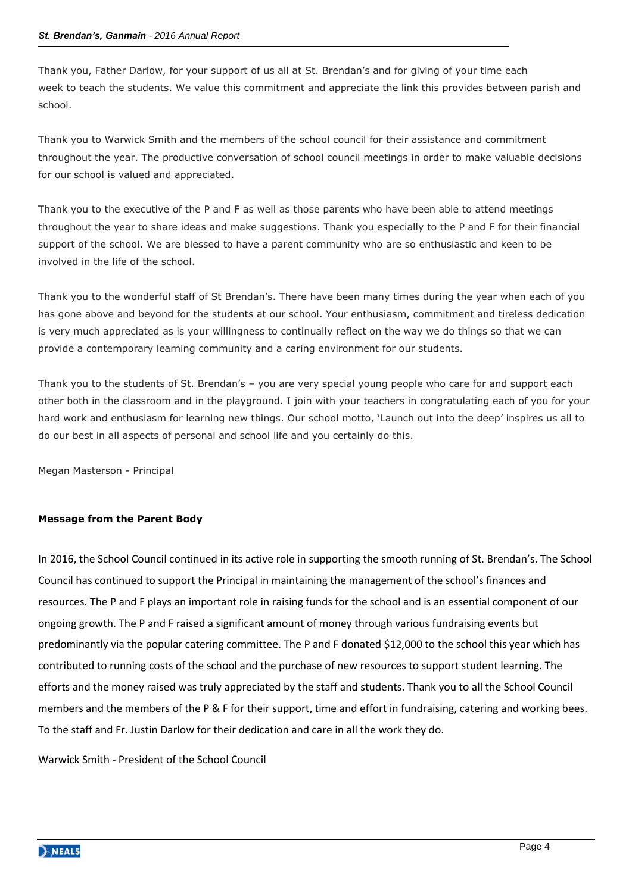Thank you, Father Darlow, for your support of us all at St. Brendan's and for giving of your time each week to teach the students. We value this commitment and appreciate the link this provides between parish and school.

Thank you to Warwick Smith and the members of the school council for their assistance and commitment throughout the year. The productive conversation of school council meetings in order to make valuable decisions for our school is valued and appreciated.

Thank you to the executive of the P and F as well as those parents who have been able to attend meetings throughout the year to share ideas and make suggestions. Thank you especially to the P and F for their financial support of the school. We are blessed to have a parent community who are so enthusiastic and keen to be involved in the life of the school.

Thank you to the wonderful staff of St Brendan's. There have been many times during the year when each of you has gone above and beyond for the students at our school. Your enthusiasm, commitment and tireless dedication is very much appreciated as is your willingness to continually reflect on the way we do things so that we can provide a contemporary learning community and a caring environment for our students.

Thank you to the students of St. Brendan's – you are very special young people who care for and support each other both in the classroom and in the playground. I join with your teachers in congratulating each of you for your hard work and enthusiasm for learning new things. Our school motto, 'Launch out into the deep' inspires us all to do our best in all aspects of personal and school life and you certainly do this.

Megan Masterson - Principal

#### **Message from the Parent Body**

In 2016, the School Council continued in its active role in supporting the smooth running of St. Brendan's. The School Council has continued to support the Principal in maintaining the management of the school's finances and resources. The P and F plays an important role in raising funds for the school and is an essential component of our ongoing growth. The P and F raised a significant amount of money through various fundraising events but predominantly via the popular catering committee. The P and F donated \$12,000 to the school this year which has contributed to running costs of the school and the purchase of new resources to support student learning. The efforts and the money raised was truly appreciated by the staff and students. Thank you to all the School Council members and the members of the P & F for their support, time and effort in fundraising, catering and working bees. To the staff and Fr. Justin Darlow for their dedication and care in all the work they do.

Warwick Smith - President of the School Council

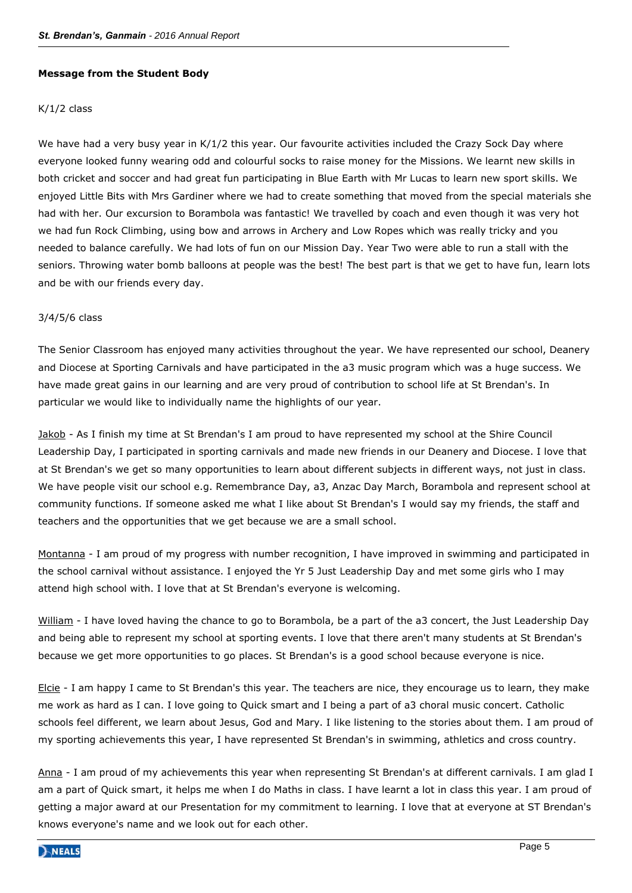#### **Message from the Student Body**

# K/1/2 class

We have had a very busy year in K/1/2 this year. Our favourite activities included the Crazy Sock Day where everyone looked funny wearing odd and colourful socks to raise money for the Missions. We learnt new skills in both cricket and soccer and had great fun participating in Blue Earth with Mr Lucas to learn new sport skills. We enjoyed Little Bits with Mrs Gardiner where we had to create something that moved from the special materials she had with her. Our excursion to Borambola was fantastic! We travelled by coach and even though it was very hot we had fun Rock Climbing, using bow and arrows in Archery and Low Ropes which was really tricky and you needed to balance carefully. We had lots of fun on our Mission Day. Year Two were able to run a stall with the seniors. Throwing water bomb balloons at people was the best! The best part is that we get to have fun, learn lots and be with our friends every day.

#### 3/4/5/6 class

The Senior Classroom has enjoyed many activities throughout the year. We have represented our school, Deanery and Diocese at Sporting Carnivals and have participated in the a3 music program which was a huge success. We have made great gains in our learning and are very proud of contribution to school life at St Brendan's. In particular we would like to individually name the highlights of our year.

Jakob - As I finish my time at St Brendan's I am proud to have represented my school at the Shire Council Leadership Day, I participated in sporting carnivals and made new friends in our Deanery and Diocese. I love that at St Brendan's we get so many opportunities to learn about different subjects in different ways, not just in class. We have people visit our school e.g. Remembrance Day, a3, Anzac Day March, Borambola and represent school at community functions. If someone asked me what I like about St Brendan's I would say my friends, the staff and teachers and the opportunities that we get because we are a small school.

Montanna - I am proud of my progress with number recognition, I have improved in swimming and participated in the school carnival without assistance. I enjoyed the Yr 5 Just Leadership Day and met some girls who I may attend high school with. I love that at St Brendan's everyone is welcoming.

William - I have loved having the chance to go to Borambola, be a part of the a3 concert, the Just Leadership Day and being able to represent my school at sporting events. I love that there aren't many students at St Brendan's because we get more opportunities to go places. St Brendan's is a good school because everyone is nice.

Elcie - I am happy I came to St Brendan's this year. The teachers are nice, they encourage us to learn, they make me work as hard as I can. I love going to Quick smart and I being a part of a3 choral music concert. Catholic schools feel different, we learn about Jesus, God and Mary. I like listening to the stories about them. I am proud of my sporting achievements this year, I have represented St Brendan's in swimming, athletics and cross country.

Anna - I am proud of my achievements this year when representing St Brendan's at different carnivals. I am glad I am a part of Quick smart, it helps me when I do Maths in class. I have learnt a lot in class this year. I am proud of getting a major award at our Presentation for my commitment to learning. I love that at everyone at ST Brendan's knows everyone's name and we look out for each other.

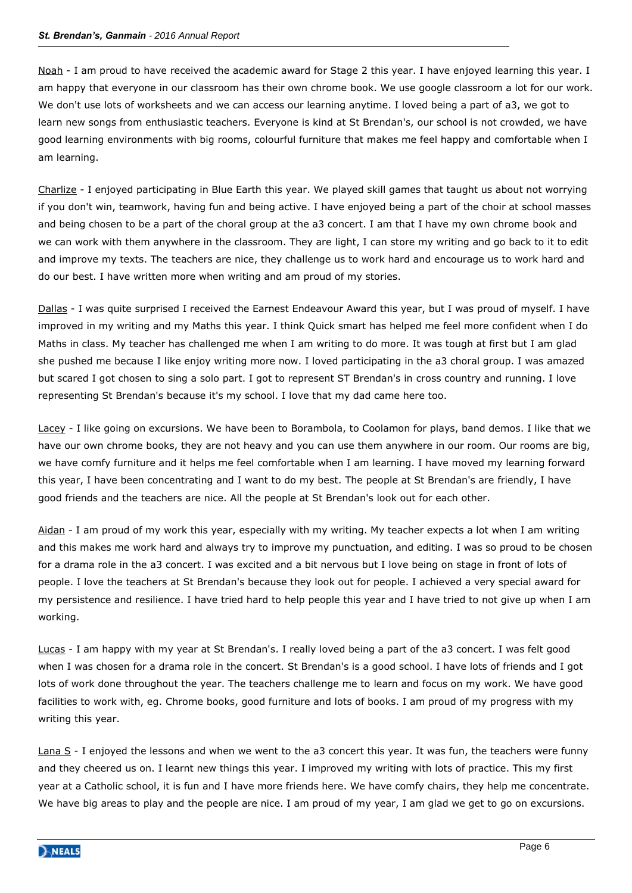Noah - I am proud to have received the academic award for Stage 2 this year. I have enjoyed learning this year. I am happy that everyone in our classroom has their own chrome book. We use google classroom a lot for our work. We don't use lots of worksheets and we can access our learning anytime. I loved being a part of a3, we got to learn new songs from enthusiastic teachers. Everyone is kind at St Brendan's, our school is not crowded, we have good learning environments with big rooms, colourful furniture that makes me feel happy and comfortable when I am learning.

Charlize - I enjoyed participating in Blue Earth this year. We played skill games that taught us about not worrying if you don't win, teamwork, having fun and being active. I have enjoyed being a part of the choir at school masses and being chosen to be a part of the choral group at the a3 concert. I am that I have my own chrome book and we can work with them anywhere in the classroom. They are light, I can store my writing and go back to it to edit and improve my texts. The teachers are nice, they challenge us to work hard and encourage us to work hard and do our best. I have written more when writing and am proud of my stories.

Dallas - I was quite surprised I received the Earnest Endeavour Award this year, but I was proud of myself. I have improved in my writing and my Maths this year. I think Quick smart has helped me feel more confident when I do Maths in class. My teacher has challenged me when I am writing to do more. It was tough at first but I am glad she pushed me because I like enjoy writing more now. I loved participating in the a3 choral group. I was amazed but scared I got chosen to sing a solo part. I got to represent ST Brendan's in cross country and running. I love representing St Brendan's because it's my school. I love that my dad came here too.

Lacey - I like going on excursions. We have been to Borambola, to Coolamon for plays, band demos. I like that we have our own chrome books, they are not heavy and you can use them anywhere in our room. Our rooms are big, we have comfy furniture and it helps me feel comfortable when I am learning. I have moved my learning forward this year, I have been concentrating and I want to do my best. The people at St Brendan's are friendly, I have good friends and the teachers are nice. All the people at St Brendan's look out for each other.

Aidan - I am proud of my work this year, especially with my writing. My teacher expects a lot when I am writing and this makes me work hard and always try to improve my punctuation, and editing. I was so proud to be chosen for a drama role in the a3 concert. I was excited and a bit nervous but I love being on stage in front of lots of people. I love the teachers at St Brendan's because they look out for people. I achieved a very special award for my persistence and resilience. I have tried hard to help people this year and I have tried to not give up when I am working.

Lucas - I am happy with my year at St Brendan's. I really loved being a part of the a3 concert. I was felt good when I was chosen for a drama role in the concert. St Brendan's is a good school. I have lots of friends and I got lots of work done throughout the year. The teachers challenge me to learn and focus on my work. We have good facilities to work with, eg. Chrome books, good furniture and lots of books. I am proud of my progress with my writing this year.

Lana S - I enjoyed the lessons and when we went to the a3 concert this year. It was fun, the teachers were funny and they cheered us on. I learnt new things this year. I improved my writing with lots of practice. This my first year at a Catholic school, it is fun and I have more friends here. We have comfy chairs, they help me concentrate. We have big areas to play and the people are nice. I am proud of my year, I am glad we get to go on excursions.

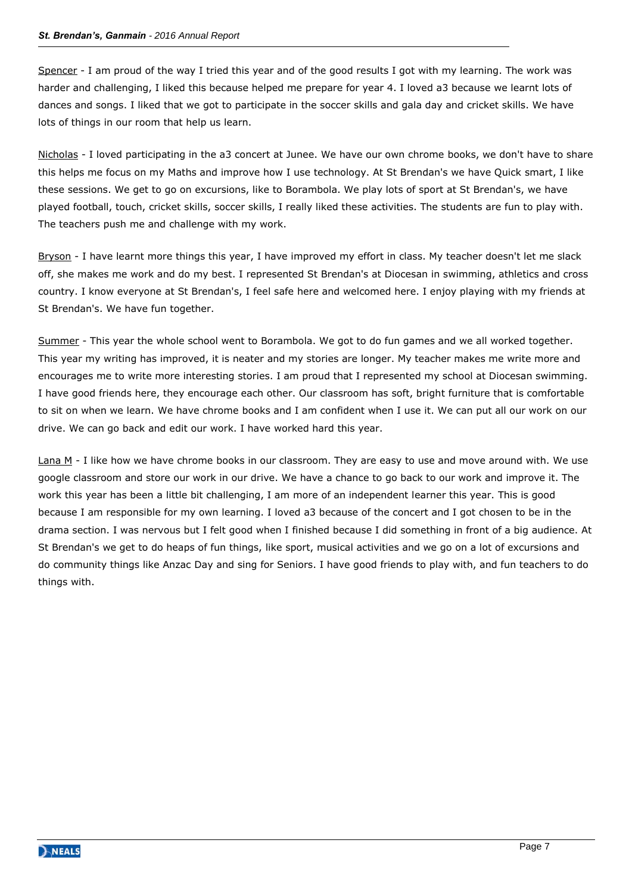Spencer - I am proud of the way I tried this year and of the good results I got with my learning. The work was harder and challenging, I liked this because helped me prepare for year 4. I loved a3 because we learnt lots of dances and songs. I liked that we got to participate in the soccer skills and gala day and cricket skills. We have lots of things in our room that help us learn.

Nicholas - I loved participating in the a3 concert at Junee. We have our own chrome books, we don't have to share this helps me focus on my Maths and improve how I use technology. At St Brendan's we have Quick smart, I like these sessions. We get to go on excursions, like to Borambola. We play lots of sport at St Brendan's, we have played football, touch, cricket skills, soccer skills, I really liked these activities. The students are fun to play with. The teachers push me and challenge with my work.

Bryson - I have learnt more things this year, I have improved my effort in class. My teacher doesn't let me slack off, she makes me work and do my best. I represented St Brendan's at Diocesan in swimming, athletics and cross country. I know everyone at St Brendan's, I feel safe here and welcomed here. I enjoy playing with my friends at St Brendan's. We have fun together.

Summer - This year the whole school went to Borambola. We got to do fun games and we all worked together. This year my writing has improved, it is neater and my stories are longer. My teacher makes me write more and encourages me to write more interesting stories. I am proud that I represented my school at Diocesan swimming. I have good friends here, they encourage each other. Our classroom has soft, bright furniture that is comfortable to sit on when we learn. We have chrome books and I am confident when I use it. We can put all our work on our drive. We can go back and edit our work. I have worked hard this year.

Lana M - I like how we have chrome books in our classroom. They are easy to use and move around with. We use google classroom and store our work in our drive. We have a chance to go back to our work and improve it. The work this year has been a little bit challenging, I am more of an independent learner this year. This is good because I am responsible for my own learning. I loved a3 because of the concert and I got chosen to be in the drama section. I was nervous but I felt good when I finished because I did something in front of a big audience. At St Brendan's we get to do heaps of fun things, like sport, musical activities and we go on a lot of excursions and do community things like Anzac Day and sing for Seniors. I have good friends to play with, and fun teachers to do things with.

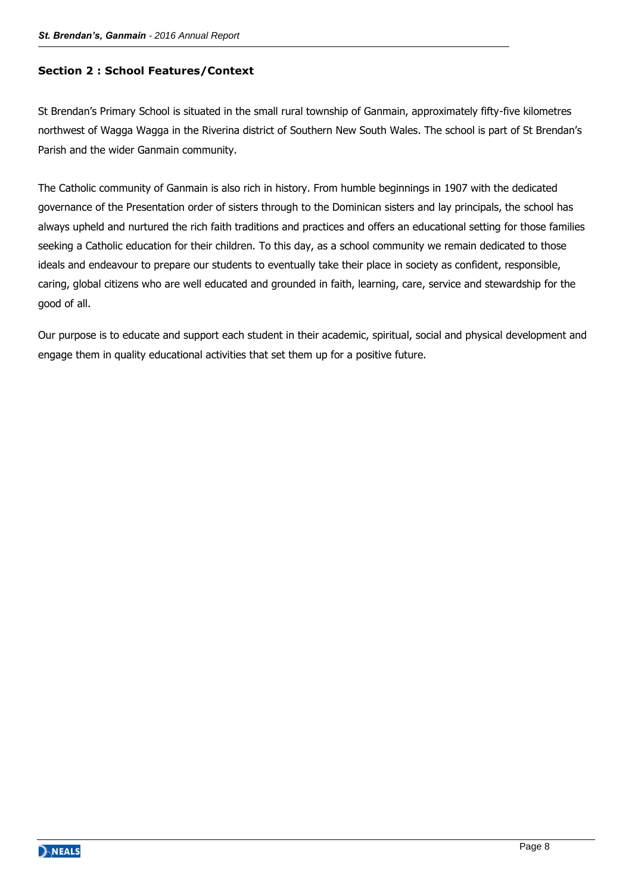# **Section 2 : School Features/Context**

St Brendan's Primary School is situated in the small rural township of Ganmain, approximately fifty-five kilometres northwest of Wagga Wagga in the Riverina district of Southern New South Wales. The school is part of St Brendan's Parish and the wider Ganmain community.

The Catholic community of Ganmain is also rich in history. From humble beginnings in 1907 with the dedicated governance of the Presentation order of sisters through to the Dominican sisters and lay principals, the school has always upheld and nurtured the rich faith traditions and practices and offers an educational setting for those families seeking a Catholic education for their children. To this day, as a school community we remain dedicated to those ideals and endeavour to prepare our students to eventually take their place in society as confident, responsible, caring, global citizens who are well educated and grounded in faith, learning, care, service and stewardship for the good of all.

Our purpose is to educate and support each student in their academic, spiritual, social and physical development and engage them in quality educational activities that set them up for a positive future.

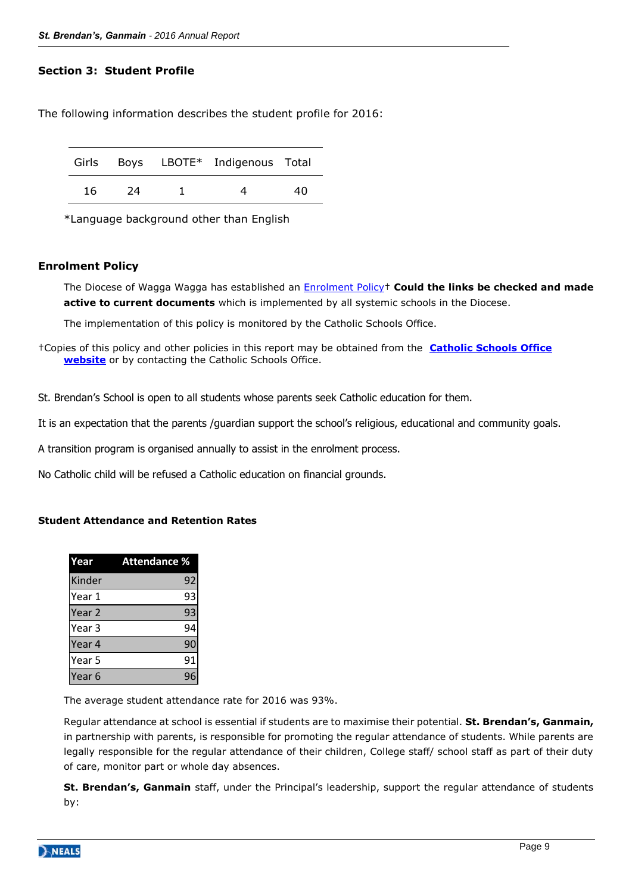# **Section 3: Student Profile**

The following information describes the student profile for 2016:

|    |    | Girls Boys LBOTE* Indigenous Total |    |
|----|----|------------------------------------|----|
| 16 | 24 |                                    | 4በ |

\*Language background other than English

# **Enrolment Policy**

The Diocese of Wagga Wagga has established an [Enrolment Policy](http://web.csoww.catholic.edu.au/LinkClick.aspx?fileticket=44XzXs_VxD4%3d&tabid=168)† **Could the links be checked and made active to current documents** which is implemented by all systemic schools in the Diocese.

The implementation of this policy is monitored by the Catholic Schools Office.

†Copies of this policy and other policies in this report may be obtained from the **[Catholic Schools Office](http://web.csoww.catholic.edu.au/AboutCSOWagga/Policydocuments/tabid/67/Default.aspx)  [website](http://web.csoww.catholic.edu.au/AboutCSOWagga/Policydocuments/tabid/67/Default.aspx)** or by contacting the Catholic Schools Office.

St. Brendan's School is open to all students whose parents seek Catholic education for them.

It is an expectation that the parents /guardian support the school's religious, educational and community goals.

A transition program is organised annually to assist in the enrolment process.

No Catholic child will be refused a Catholic education on financial grounds.

# **Student Attendance and Retention Rates**

| Year              | <b>Attendance %</b> |  |
|-------------------|---------------------|--|
| Kinder            | 92                  |  |
| Year 1            | 93                  |  |
| Year <sub>2</sub> | 93                  |  |
| Year <sub>3</sub> | 94                  |  |
| Year 4            | 90                  |  |
| Year 5            | 91                  |  |
| Year <sub>6</sub> | 96                  |  |

The average student attendance rate for 2016 was 93%.

Regular attendance at school is essential if students are to maximise their potential. **St. Brendan's, Ganmain,**  in partnership with parents, is responsible for promoting the regular attendance of students. While parents are legally responsible for the regular attendance of their children, College staff/ school staff as part of their duty of care, monitor part or whole day absences.

**St. Brendan's, Ganmain** staff, under the Principal's leadership, support the regular attendance of students by:

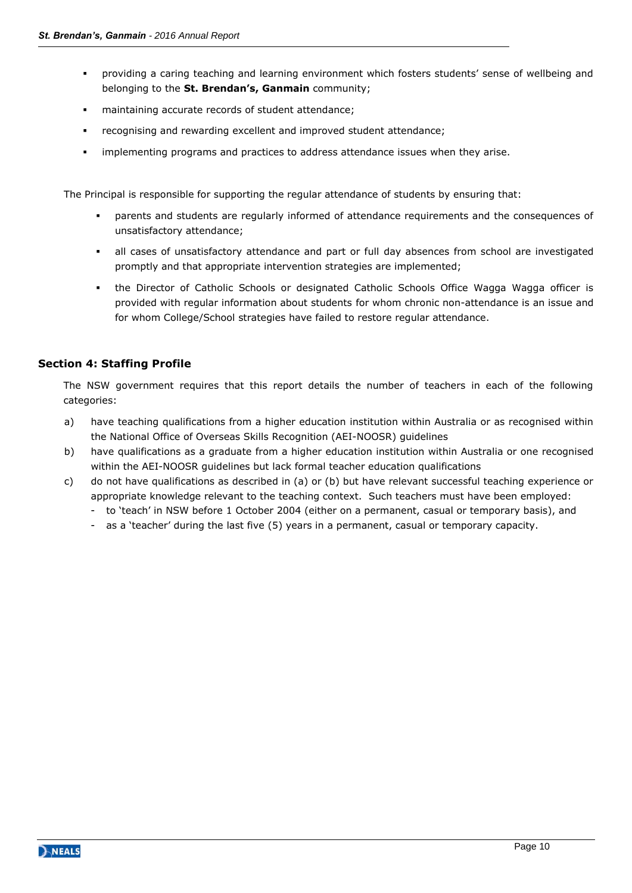- providing a caring teaching and learning environment which fosters students' sense of wellbeing and belonging to the **St. Brendan's, Ganmain** community;
- maintaining accurate records of student attendance;
- recognising and rewarding excellent and improved student attendance;
- implementing programs and practices to address attendance issues when they arise.

The Principal is responsible for supporting the regular attendance of students by ensuring that:

- parents and students are regularly informed of attendance requirements and the consequences of unsatisfactory attendance;
- all cases of unsatisfactory attendance and part or full day absences from school are investigated promptly and that appropriate intervention strategies are implemented;
- the Director of Catholic Schools or designated Catholic Schools Office Wagga Wagga officer is provided with regular information about students for whom chronic non-attendance is an issue and for whom College/School strategies have failed to restore regular attendance.

# **Section 4: Staffing Profile**

The NSW government requires that this report details the number of teachers in each of the following categories:

- a) have teaching qualifications from a higher education institution within Australia or as recognised within the National Office of Overseas Skills Recognition (AEI-NOOSR) guidelines
- b) have qualifications as a graduate from a higher education institution within Australia or one recognised within the AEI-NOOSR guidelines but lack formal teacher education qualifications
- c) do not have qualifications as described in (a) or (b) but have relevant successful teaching experience or appropriate knowledge relevant to the teaching context. Such teachers must have been employed:
	- to 'teach' in NSW before 1 October 2004 (either on a permanent, casual or temporary basis), and
	- as a 'teacher' during the last five (5) years in a permanent, casual or temporary capacity.

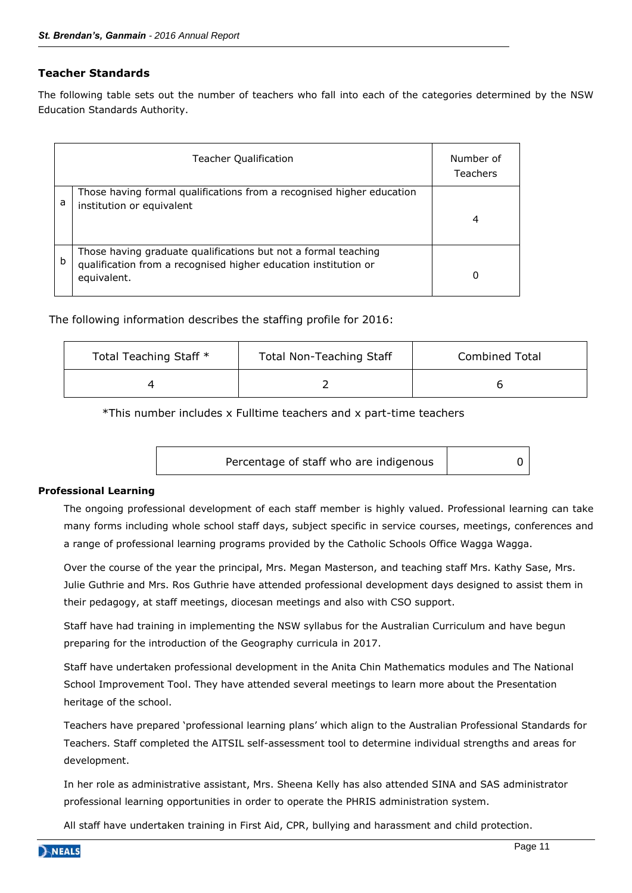# **Teacher Standards**

The following table sets out the number of teachers who fall into each of the categories determined by the NSW Education Standards Authority.

|   | <b>Teacher Qualification</b>                                                                                                                     | Number of<br><b>Teachers</b> |
|---|--------------------------------------------------------------------------------------------------------------------------------------------------|------------------------------|
| a | Those having formal qualifications from a recognised higher education<br>institution or equivalent                                               | 4                            |
| b | Those having graduate qualifications but not a formal teaching<br>qualification from a recognised higher education institution or<br>equivalent. | 0                            |

The following information describes the staffing profile for 2016:

| Total Teaching Staff * | <b>Total Non-Teaching Staff</b> | <b>Combined Total</b> |
|------------------------|---------------------------------|-----------------------|
|                        |                                 |                       |

\*This number includes x Fulltime teachers and x part-time teachers

| Percentage of staff who are indigenous |  |
|----------------------------------------|--|
|                                        |  |

#### **Professional Learning**

The ongoing professional development of each staff member is highly valued. Professional learning can take many forms including whole school staff days, subject specific in service courses, meetings, conferences and a range of professional learning programs provided by the Catholic Schools Office Wagga Wagga.

Over the course of the year the principal, Mrs. Megan Masterson, and teaching staff Mrs. Kathy Sase, Mrs. Julie Guthrie and Mrs. Ros Guthrie have attended professional development days designed to assist them in their pedagogy, at staff meetings, diocesan meetings and also with CSO support.

Staff have had training in implementing the NSW syllabus for the Australian Curriculum and have begun preparing for the introduction of the Geography curricula in 2017.

Staff have undertaken professional development in the Anita Chin Mathematics modules and The National School Improvement Tool. They have attended several meetings to learn more about the Presentation heritage of the school.

Teachers have prepared 'professional learning plans' which align to the Australian Professional Standards for Teachers. Staff completed the AITSIL self-assessment tool to determine individual strengths and areas for development.

In her role as administrative assistant, Mrs. Sheena Kelly has also attended SINA and SAS administrator professional learning opportunities in order to operate the PHRIS administration system.

All staff have undertaken training in First Aid, CPR, bullying and harassment and child protection.

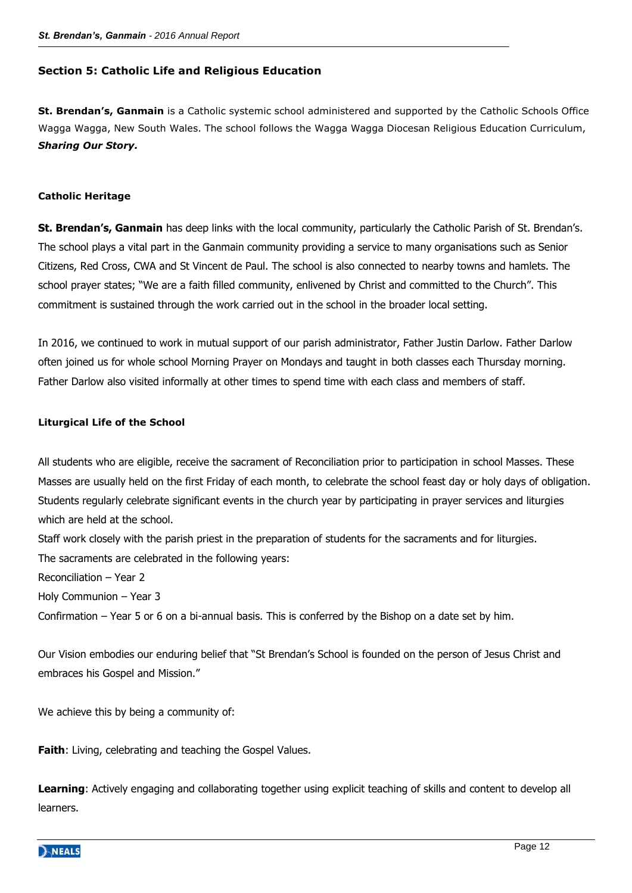# **Section 5: Catholic Life and Religious Education**

**St. Brendan's, Ganmain** is a Catholic systemic school administered and supported by the Catholic Schools Office Wagga Wagga, New South Wales. The school follows the Wagga Wagga Diocesan Religious Education Curriculum, *Sharing Our Story.* 

# **Catholic Heritage**

**St. Brendan's, Ganmain** has deep links with the local community, particularly the Catholic Parish of St. Brendan's. The school plays a vital part in the Ganmain community providing a service to many organisations such as Senior Citizens, Red Cross, CWA and St Vincent de Paul. The school is also connected to nearby towns and hamlets. The school prayer states; "We are a faith filled community, enlivened by Christ and committed to the Church". This commitment is sustained through the work carried out in the school in the broader local setting.

In 2016, we continued to work in mutual support of our parish administrator, Father Justin Darlow. Father Darlow often joined us for whole school Morning Prayer on Mondays and taught in both classes each Thursday morning. Father Darlow also visited informally at other times to spend time with each class and members of staff.

#### **Liturgical Life of the School**

All students who are eligible, receive the sacrament of Reconciliation prior to participation in school Masses. These Masses are usually held on the first Friday of each month, to celebrate the school feast day or holy days of obligation. Students regularly celebrate significant events in the church year by participating in prayer services and liturgies which are held at the school.

Staff work closely with the parish priest in the preparation of students for the sacraments and for liturgies. The sacraments are celebrated in the following years:

Reconciliation – Year 2

Holy Communion – Year 3

Confirmation – Year 5 or 6 on a bi-annual basis. This is conferred by the Bishop on a date set by him.

Our Vision embodies our enduring belief that "St Brendan's School is founded on the person of Jesus Christ and embraces his Gospel and Mission."

We achieve this by being a community of:

**Faith**: Living, celebrating and teaching the Gospel Values.

**Learning**: Actively engaging and collaborating together using explicit teaching of skills and content to develop all learners.

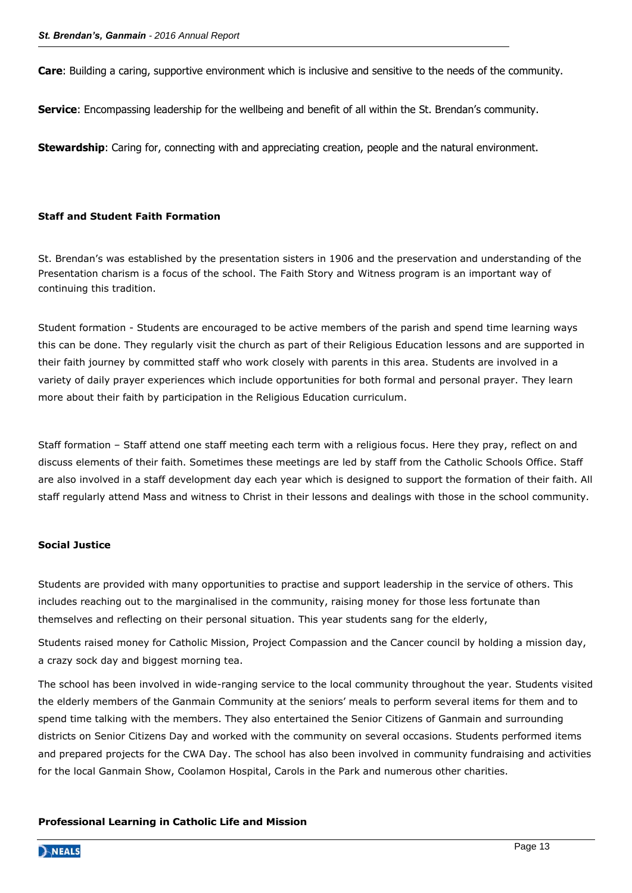**Care**: Building a caring, supportive environment which is inclusive and sensitive to the needs of the community.

**Service**: Encompassing leadership for the wellbeing and benefit of all within the St. Brendan's community.

**Stewardship**: Caring for, connecting with and appreciating creation, people and the natural environment.

#### **Staff and Student Faith Formation**

St. Brendan's was established by the presentation sisters in 1906 and the preservation and understanding of the Presentation charism is a focus of the school. The Faith Story and Witness program is an important way of continuing this tradition.

Student formation - Students are encouraged to be active members of the parish and spend time learning ways this can be done. They regularly visit the church as part of their Religious Education lessons and are supported in their faith journey by committed staff who work closely with parents in this area. Students are involved in a variety of daily prayer experiences which include opportunities for both formal and personal prayer. They learn more about their faith by participation in the Religious Education curriculum.

Staff formation – Staff attend one staff meeting each term with a religious focus. Here they pray, reflect on and discuss elements of their faith. Sometimes these meetings are led by staff from the Catholic Schools Office. Staff are also involved in a staff development day each year which is designed to support the formation of their faith. All staff regularly attend Mass and witness to Christ in their lessons and dealings with those in the school community.

#### **Social Justice**

Students are provided with many opportunities to practise and support leadership in the service of others. This includes reaching out to the marginalised in the community, raising money for those less fortunate than themselves and reflecting on their personal situation. This year students sang for the elderly,

Students raised money for Catholic Mission, Project Compassion and the Cancer council by holding a mission day, a crazy sock day and biggest morning tea.

The school has been involved in wide-ranging service to the local community throughout the year. Students visited the elderly members of the Ganmain Community at the seniors' meals to perform several items for them and to spend time talking with the members. They also entertained the Senior Citizens of Ganmain and surrounding districts on Senior Citizens Day and worked with the community on several occasions. Students performed items and prepared projects for the CWA Day. The school has also been involved in community fundraising and activities for the local Ganmain Show, Coolamon Hospital, Carols in the Park and numerous other charities.

#### **Professional Learning in Catholic Life and Mission**

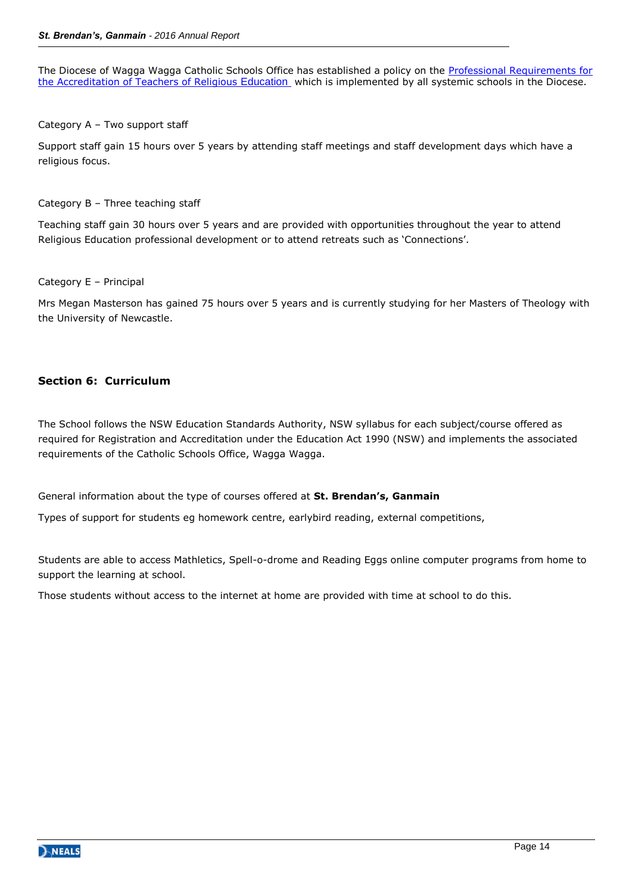The Diocese of Wagga Wagga Catholic Schools Office has established a policy on the [Professional Requirements for](http://web.csoww.catholic.edu.au/LinkClick.aspx?fileticket=2h9bKCfyU5c%3d&tabid=75)  [the Accreditation of Teachers of Religious](http://web.csoww.catholic.edu.au/LinkClick.aspx?fileticket=2h9bKCfyU5c%3d&tabid=75) Education which is implemented by all systemic schools in the Diocese.

#### Category A – Two support staff

Support staff gain 15 hours over 5 years by attending staff meetings and staff development days which have a religious focus.

#### Category B – Three teaching staff

Teaching staff gain 30 hours over 5 years and are provided with opportunities throughout the year to attend Religious Education professional development or to attend retreats such as 'Connections'.

#### Category E – Principal

Mrs Megan Masterson has gained 75 hours over 5 years and is currently studying for her Masters of Theology with the University of Newcastle.

# **Section 6: Curriculum**

The School follows the NSW Education Standards Authority, NSW syllabus for each subject/course offered as required for Registration and Accreditation under the Education Act 1990 (NSW) and implements the associated requirements of the Catholic Schools Office, Wagga Wagga.

General information about the type of courses offered at **St. Brendan's, Ganmain**

Types of support for students eg homework centre, earlybird reading, external competitions,

Students are able to access Mathletics, Spell-o-drome and Reading Eggs online computer programs from home to support the learning at school.

Those students without access to the internet at home are provided with time at school to do this.

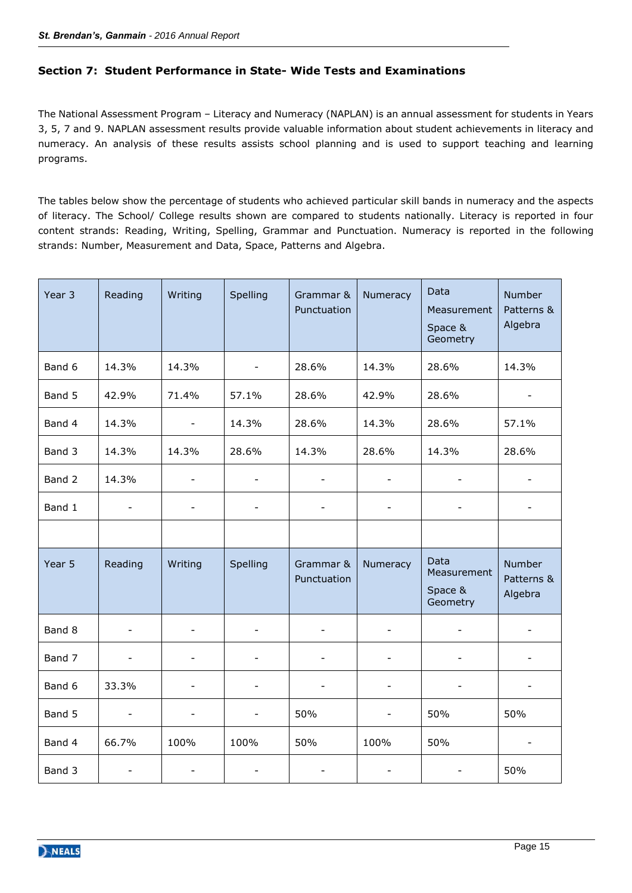# **Section 7: Student Performance in State- Wide Tests and Examinations**

The National Assessment Program – Literacy and Numeracy (NAPLAN) is an annual assessment for students in Years 3, 5, 7 and 9. NAPLAN assessment results provide valuable information about student achievements in literacy and numeracy. An analysis of these results assists school planning and is used to support teaching and learning programs.

The tables below show the percentage of students who achieved particular skill bands in numeracy and the aspects of literacy. The School/ College results shown are compared to students nationally. Literacy is reported in four content strands: Reading, Writing, Spelling, Grammar and Punctuation. Numeracy is reported in the following strands: Number, Measurement and Data, Space, Patterns and Algebra.

| Year 3 | Reading                  | Writing                  | Spelling                 | Grammar &<br>Punctuation | Numeracy                 | Data<br>Measurement<br>Space &<br>Geometry | Number<br>Patterns &<br>Algebra |
|--------|--------------------------|--------------------------|--------------------------|--------------------------|--------------------------|--------------------------------------------|---------------------------------|
| Band 6 | 14.3%                    | 14.3%                    | $\overline{\phantom{a}}$ | 28.6%                    | 14.3%                    | 28.6%                                      | 14.3%                           |
| Band 5 | 42.9%                    | 71.4%                    | 57.1%                    | 28.6%                    | 42.9%                    | 28.6%                                      |                                 |
| Band 4 | 14.3%                    | $\overline{\phantom{a}}$ | 14.3%                    | 28.6%                    | 14.3%                    | 28.6%                                      | 57.1%                           |
| Band 3 | 14.3%                    | 14.3%                    | 28.6%                    | 14.3%                    | 28.6%                    | 14.3%                                      | 28.6%                           |
| Band 2 | 14.3%                    | $\blacksquare$           | $\overline{\phantom{a}}$ | $\overline{\phantom{a}}$ |                          |                                            |                                 |
| Band 1 |                          |                          |                          |                          |                          |                                            |                                 |
|        |                          |                          |                          |                          |                          |                                            |                                 |
| Year 5 | Reading                  | Writing                  | Spelling                 | Grammar &<br>Punctuation | Numeracy                 | Data<br>Measurement<br>Space &<br>Geometry | Number<br>Patterns &<br>Algebra |
| Band 8 |                          |                          |                          |                          |                          |                                            |                                 |
| Band 7 | $\blacksquare$           | $\overline{\phantom{a}}$ | $\overline{\phantom{a}}$ | $\blacksquare$           | $\blacksquare$           | $\blacksquare$                             | $\blacksquare$                  |
| Band 6 | 33.3%                    | $\overline{\phantom{0}}$ | $\overline{\phantom{a}}$ | $\overline{\phantom{a}}$ | $\qquad \qquad -$        | $\qquad \qquad -$                          |                                 |
| Band 5 | $\overline{\phantom{a}}$ | $\overline{\phantom{a}}$ | $\overline{\phantom{a}}$ | 50%                      | $\overline{\phantom{a}}$ | 50%                                        | 50%                             |
| Band 4 | 66.7%                    | 100%                     | 100%                     | 50%                      | 100%                     | 50%                                        |                                 |
| Band 3 |                          |                          |                          |                          |                          |                                            | 50%                             |

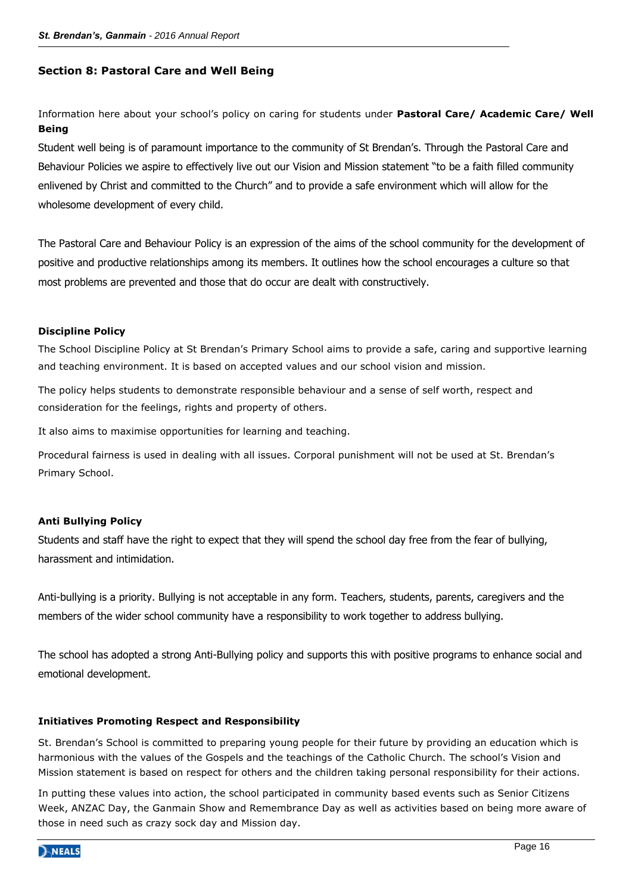#### **Section 8: Pastoral Care and Well Being**

Information here about your school's policy on caring for students under **Pastoral Care/ Academic Care/ Well Being**

Student well being is of paramount importance to the community of St Brendan's. Through the Pastoral Care and Behaviour Policies we aspire to effectively live out our Vision and Mission statement "to be a faith filled community enlivened by Christ and committed to the Church" and to provide a safe environment which will allow for the wholesome development of every child.

The Pastoral Care and Behaviour Policy is an expression of the aims of the school community for the development of positive and productive relationships among its members. It outlines how the school encourages a culture so that most problems are prevented and those that do occur are dealt with constructively.

#### **Discipline Policy**

The School Discipline Policy at St Brendan's Primary School aims to provide a safe, caring and supportive learning and teaching environment. It is based on accepted values and our school vision and mission.

The policy helps students to demonstrate responsible behaviour and a sense of self worth, respect and consideration for the feelings, rights and property of others.

It also aims to maximise opportunities for learning and teaching.

Procedural fairness is used in dealing with all issues. Corporal punishment will not be used at St. Brendan's Primary School.

#### **Anti Bullying Policy**

Students and staff have the right to expect that they will spend the school day free from the fear of bullying, harassment and intimidation.

Anti-bullying is a priority. Bullying is not acceptable in any form. Teachers, students, parents, caregivers and the members of the wider school community have a responsibility to work together to address bullying.

The school has adopted a strong Anti-Bullying policy and supports this with positive programs to enhance social and emotional development.

#### **Initiatives Promoting Respect and Responsibility**

St. Brendan's School is committed to preparing young people for their future by providing an education which is harmonious with the values of the Gospels and the teachings of the Catholic Church. The school's Vision and Mission statement is based on respect for others and the children taking personal responsibility for their actions.

In putting these values into action, the school participated in community based events such as Senior Citizens Week, ANZAC Day, the Ganmain Show and Remembrance Day as well as activities based on being more aware of those in need such as crazy sock day and Mission day.

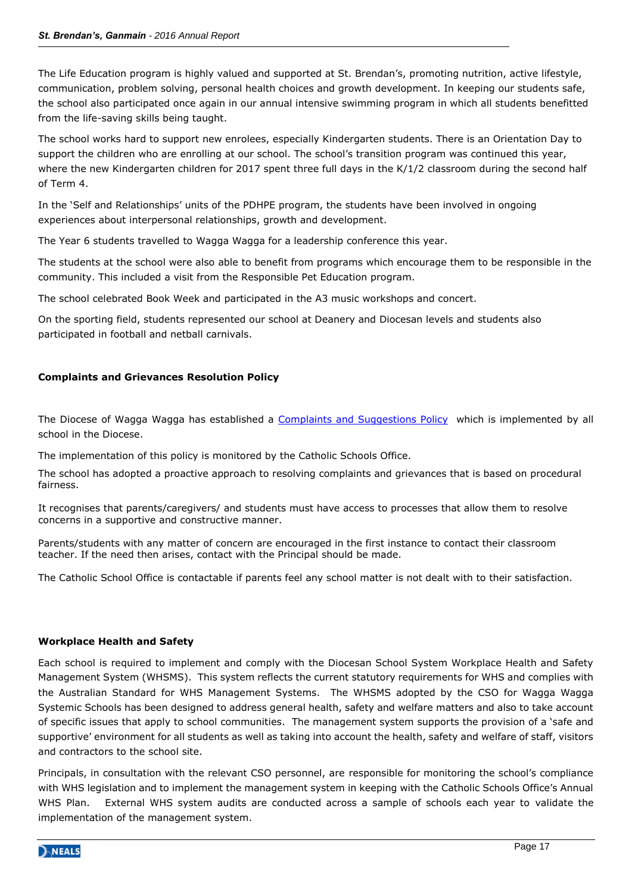The Life Education program is highly valued and supported at St. Brendan's, promoting nutrition, active lifestyle, communication, problem solving, personal health choices and growth development. In keeping our students safe, the school also participated once again in our annual intensive swimming program in which all students benefitted from the life-saving skills being taught.

The school works hard to support new enrolees, especially Kindergarten students. There is an Orientation Day to support the children who are enrolling at our school. The school's transition program was continued this year, where the new Kindergarten children for 2017 spent three full days in the K/1/2 classroom during the second half of Term 4.

In the 'Self and Relationships' units of the PDHPE program, the students have been involved in ongoing experiences about interpersonal relationships, growth and development.

The Year 6 students travelled to Wagga Wagga for a leadership conference this year.

The students at the school were also able to benefit from programs which encourage them to be responsible in the community. This included a visit from the Responsible Pet Education program.

The school celebrated Book Week and participated in the A3 music workshops and concert.

On the sporting field, students represented our school at Deanery and Diocesan levels and students also participated in football and netball carnivals.

# **Complaints and Grievances Resolution Policy**

The Diocese of Wagga Wagga has established a [Complaints and Suggestions Policy](http://web.csoww.catholic.edu.au/LinkClick.aspx?fileticket=qVg8QHtuJbw%3d&tabid=168) which is implemented by all school in the Diocese.

The implementation of this policy is monitored by the Catholic Schools Office.

The school has adopted a proactive approach to resolving complaints and grievances that is based on procedural fairness.

It recognises that parents/caregivers/ and students must have access to processes that allow them to resolve concerns in a supportive and constructive manner.

Parents/students with any matter of concern are encouraged in the first instance to contact their classroom teacher. If the need then arises, contact with the Principal should be made.

The Catholic School Office is contactable if parents feel any school matter is not dealt with to their satisfaction.

# **Workplace Health and Safety**

Each school is required to implement and comply with the Diocesan School System Workplace Health and Safety Management System (WHSMS). This system reflects the current statutory requirements for WHS and complies with the Australian Standard for WHS Management Systems. The WHSMS adopted by the CSO for Wagga Wagga Systemic Schools has been designed to address general health, safety and welfare matters and also to take account of specific issues that apply to school communities. The management system supports the provision of a 'safe and supportive' environment for all students as well as taking into account the health, safety and welfare of staff, visitors and contractors to the school site.

Principals, in consultation with the relevant CSO personnel, are responsible for monitoring the school's compliance with WHS legislation and to implement the management system in keeping with the Catholic Schools Office's Annual WHS Plan. External WHS system audits are conducted across a sample of schools each year to validate the implementation of the management system.

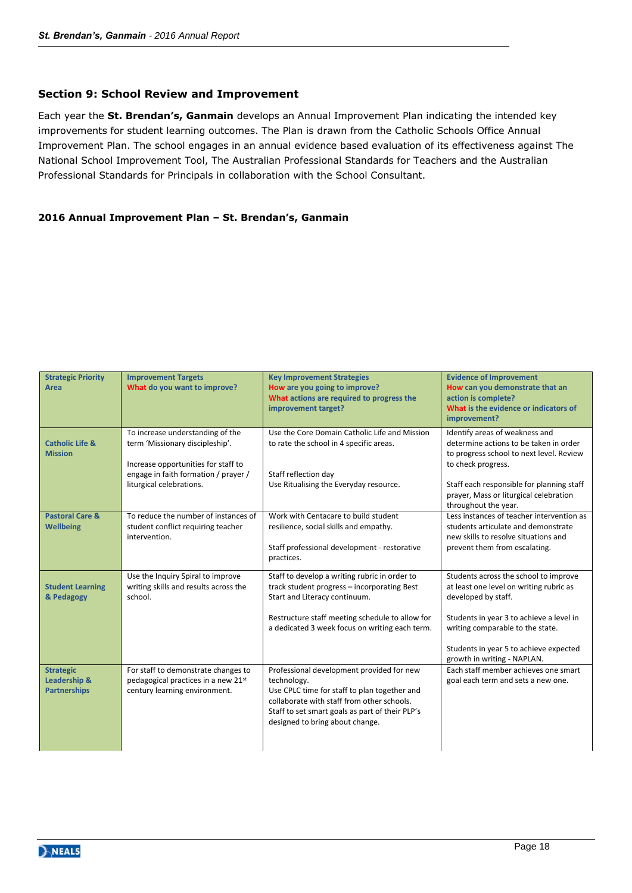# **Section 9: School Review and Improvement**

Each year the **St. Brendan's, Ganmain** develops an Annual Improvement Plan indicating the intended key improvements for student learning outcomes. The Plan is drawn from the Catholic Schools Office Annual Improvement Plan. The school engages in an annual evidence based evaluation of its effectiveness against The National School Improvement Tool, The Australian Professional Standards for Teachers and the Australian Professional Standards for Principals in collaboration with the School Consultant.

# **2016 Annual Improvement Plan – St. Brendan's, Ganmain**

| <b>Strategic Priority</b><br>Area                                  | <b>Improvement Targets</b><br>What do you want to improve?                                                                                                                     | <b>Key Improvement Strategies</b><br>How are you going to improve?<br>What actions are required to progress the<br>improvement target?                                                                                                       | <b>Evidence of Improvement</b><br>How can you demonstrate that an<br>action is complete?<br>What is the evidence or indicators of<br>improvement?                                                                                                                |
|--------------------------------------------------------------------|--------------------------------------------------------------------------------------------------------------------------------------------------------------------------------|----------------------------------------------------------------------------------------------------------------------------------------------------------------------------------------------------------------------------------------------|------------------------------------------------------------------------------------------------------------------------------------------------------------------------------------------------------------------------------------------------------------------|
| <b>Catholic Life &amp;</b><br><b>Mission</b>                       | To increase understanding of the<br>term 'Missionary discipleship'.<br>Increase opportunities for staff to<br>engage in faith formation / prayer /<br>liturgical celebrations. | Use the Core Domain Catholic Life and Mission<br>to rate the school in 4 specific areas.<br>Staff reflection day<br>Use Ritualising the Everyday resource.                                                                                   | Identify areas of weakness and<br>determine actions to be taken in order<br>to progress school to next level. Review<br>to check progress.<br>Staff each responsible for planning staff<br>prayer, Mass or liturgical celebration<br>throughout the year.        |
| <b>Pastoral Care &amp;</b><br><b>Wellbeing</b>                     | To reduce the number of instances of<br>student conflict requiring teacher<br>intervention.                                                                                    | Work with Centacare to build student<br>resilience, social skills and empathy.<br>Staff professional development - restorative<br>practices.                                                                                                 | Less instances of teacher intervention as<br>students articulate and demonstrate<br>new skills to resolve situations and<br>prevent them from escalating.                                                                                                        |
| <b>Student Learning</b><br>& Pedagogy                              | Use the Inquiry Spiral to improve<br>writing skills and results across the<br>school.                                                                                          | Staff to develop a writing rubric in order to<br>track student progress - incorporating Best<br>Start and Literacy continuum.<br>Restructure staff meeting schedule to allow for<br>a dedicated 3 week focus on writing each term.           | Students across the school to improve<br>at least one level on writing rubric as<br>developed by staff.<br>Students in year 3 to achieve a level in<br>writing comparable to the state.<br>Students in year 5 to achieve expected<br>growth in writing - NAPLAN. |
| <b>Strategic</b><br><b>Leadership &amp;</b><br><b>Partnerships</b> | For staff to demonstrate changes to<br>pedagogical practices in a new 21st<br>century learning environment.                                                                    | Professional development provided for new<br>technology.<br>Use CPLC time for staff to plan together and<br>collaborate with staff from other schools.<br>Staff to set smart goals as part of their PLP's<br>designed to bring about change. | Each staff member achieves one smart<br>goal each term and sets a new one.                                                                                                                                                                                       |

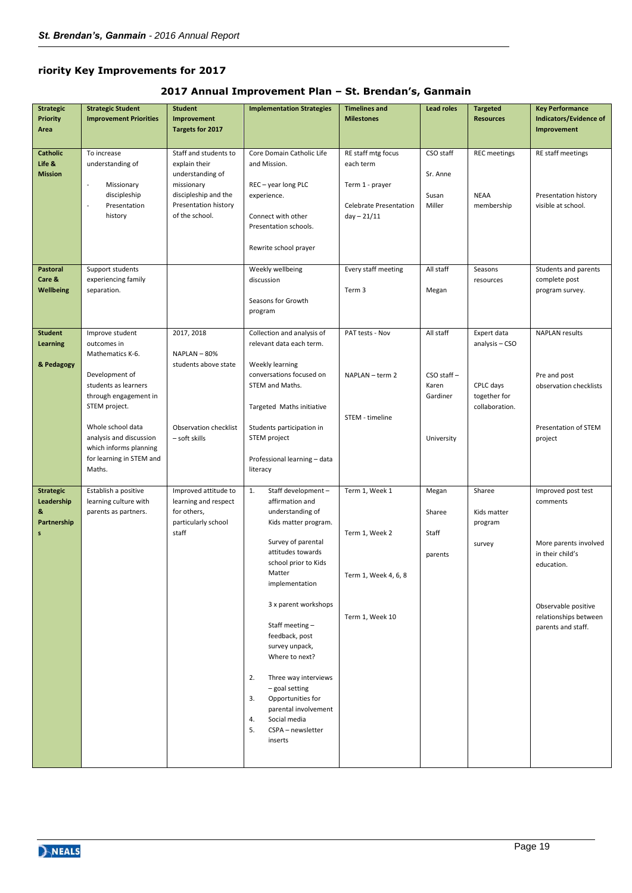# **riority Key Improvements for 2017**

# **2017 Annual Improvement Plan – St. Brendan's, Ganmain**

| <b>Strategic</b><br><b>Priority</b>                      | <b>Strategic Student</b><br><b>Improvement Priorities</b>                                                                                                                                                        | <b>Student</b><br>Improvement                                                                                                              | <b>Implementation Strategies</b>                                                                                                                                                                                                                                                                                                                                                                                                                       | <b>Timelines and</b><br><b>Milestones</b>                                                            | <b>Lead roles</b>                                               | <b>Targeted</b><br><b>Resources</b>                                          | <b>Key Performance</b><br>Indicators/Evidence of                                                                                                                |
|----------------------------------------------------------|------------------------------------------------------------------------------------------------------------------------------------------------------------------------------------------------------------------|--------------------------------------------------------------------------------------------------------------------------------------------|--------------------------------------------------------------------------------------------------------------------------------------------------------------------------------------------------------------------------------------------------------------------------------------------------------------------------------------------------------------------------------------------------------------------------------------------------------|------------------------------------------------------------------------------------------------------|-----------------------------------------------------------------|------------------------------------------------------------------------------|-----------------------------------------------------------------------------------------------------------------------------------------------------------------|
| Area                                                     |                                                                                                                                                                                                                  | Targets for 2017                                                                                                                           |                                                                                                                                                                                                                                                                                                                                                                                                                                                        |                                                                                                      |                                                                 |                                                                              | Improvement                                                                                                                                                     |
| Catholic<br>Life &<br><b>Mission</b>                     | To increase<br>understanding of<br>Missionary<br>$\overline{\phantom{a}}$<br>discipleship<br>$\overline{a}$<br>Presentation<br>history                                                                           | Staff and students to<br>explain their<br>understanding of<br>missionary<br>discipleship and the<br>Presentation history<br>of the school. | Core Domain Catholic Life<br>and Mission.<br>REC - year long PLC<br>experience.<br>Connect with other<br>Presentation schools.<br>Rewrite school prayer                                                                                                                                                                                                                                                                                                | RE staff mtg focus<br>each term<br>Term 1 - prayer<br><b>Celebrate Presentation</b><br>$day - 21/11$ | CSO staff<br>Sr. Anne<br>Susan<br>Miller                        | <b>REC</b> meetings<br><b>NEAA</b><br>membership                             | RE staff meetings<br>Presentation history<br>visible at school.                                                                                                 |
| Pastoral<br>Care &<br><b>Wellbeing</b>                   | Support students<br>experiencing family<br>separation.                                                                                                                                                           |                                                                                                                                            | Weekly wellbeing<br>discussion<br>Seasons for Growth<br>program                                                                                                                                                                                                                                                                                                                                                                                        | Every staff meeting<br>Term 3                                                                        | All staff<br>Megan                                              | Seasons<br>resources                                                         | Students and parents<br>complete post<br>program survey.                                                                                                        |
| <b>Student</b><br><b>Learning</b><br>& Pedagogy          | Improve student<br>outcomes in<br>Mathematics K-6.<br>Development of<br>students as learners<br>through engagement in<br>STEM project.<br>Whole school data<br>analysis and discussion<br>which informs planning | 2017, 2018<br>NAPLAN - 80%<br>students above state<br>Observation checklist<br>- soft skills                                               | Collection and analysis of<br>relevant data each term.<br>Weekly learning<br>conversations focused on<br>STEM and Maths.<br>Targeted Maths initiative<br>Students participation in<br>STEM project                                                                                                                                                                                                                                                     | PAT tests - Nov<br>NAPLAN - term 2<br>STEM - timeline                                                | All staff<br>$CSO$ staff $-$<br>Karen<br>Gardiner<br>University | Expert data<br>analysis - CSO<br>CPLC days<br>together for<br>collaboration. | <b>NAPLAN</b> results<br>Pre and post<br>observation checklists<br>Presentation of STEM<br>project                                                              |
|                                                          | for learning in STEM and<br>Maths.                                                                                                                                                                               |                                                                                                                                            | Professional learning - data<br>literacy                                                                                                                                                                                                                                                                                                                                                                                                               |                                                                                                      |                                                                 |                                                                              |                                                                                                                                                                 |
| <b>Strategic</b><br>Leadership<br>S.<br>Partnership<br>s | Establish a positive<br>learning culture with<br>parents as partners.                                                                                                                                            | Improved attitude to<br>learning and respect<br>for others,<br>particularly school<br>staff                                                | Staff development -<br>1.<br>affirmation and<br>understanding of<br>Kids matter program.<br>Survey of parental<br>attitudes towards<br>school prior to Kids<br>Matter<br>implementation<br>3 x parent workshops<br>Staff meeting-<br>feedback, post<br>survey unpack,<br>Where to next?<br>2.<br>Three way interviews<br>- goal setting<br>Opportunities for<br>3.<br>parental involvement<br>4.<br>Social media<br>5.<br>CSPA - newsletter<br>inserts | Term 1, Week 1<br>Term 1, Week 2<br>Term 1, Week 4, 6, 8<br>Term 1, Week 10                          | Megan<br>Sharee<br>Staff<br>parents                             | Sharee<br>Kids matter<br>program<br>survey                                   | Improved post test<br>comments<br>More parents involved<br>in their child's<br>education.<br>Observable positive<br>relationships between<br>parents and staff. |

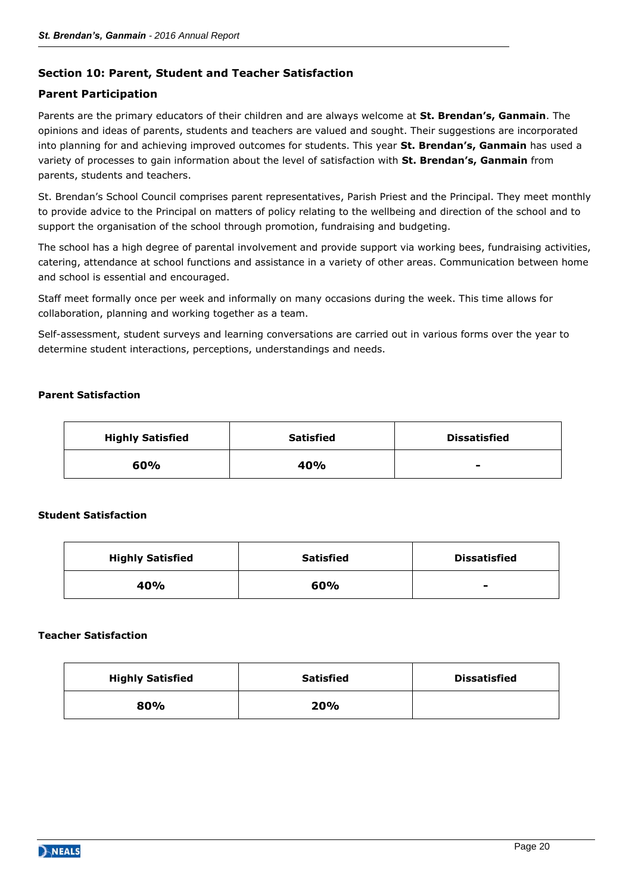# **Section 10: Parent, Student and Teacher Satisfaction**

# **Parent Participation**

Parents are the primary educators of their children and are always welcome at **St. Brendan's, Ganmain**. The opinions and ideas of parents, students and teachers are valued and sought. Their suggestions are incorporated into planning for and achieving improved outcomes for students. This year **St. Brendan's, Ganmain** has used a variety of processes to gain information about the level of satisfaction with **St. Brendan's, Ganmain** from parents, students and teachers.

St. Brendan's School Council comprises parent representatives, Parish Priest and the Principal. They meet monthly to provide advice to the Principal on matters of policy relating to the wellbeing and direction of the school and to support the organisation of the school through promotion, fundraising and budgeting.

The school has a high degree of parental involvement and provide support via working bees, fundraising activities, catering, attendance at school functions and assistance in a variety of other areas. Communication between home and school is essential and encouraged.

Staff meet formally once per week and informally on many occasions during the week. This time allows for collaboration, planning and working together as a team.

Self-assessment, student surveys and learning conversations are carried out in various forms over the year to determine student interactions, perceptions, understandings and needs.

# **Parent Satisfaction**

| <b>Highly Satisfied</b> | <b>Satisfied</b> | <b>Dissatisfied</b> |
|-------------------------|------------------|---------------------|
| 60%                     | 40%              | $\blacksquare$      |

#### **Student Satisfaction**

| <b>Highly Satisfied</b> | <b>Satisfied</b> | <b>Dissatisfied</b>      |
|-------------------------|------------------|--------------------------|
| 40%                     | 60%              | $\overline{\phantom{0}}$ |

#### **Teacher Satisfaction**

| <b>Highly Satisfied</b> | <b>Satisfied</b> | <b>Dissatisfied</b> |
|-------------------------|------------------|---------------------|
| 80%                     | 20%              |                     |